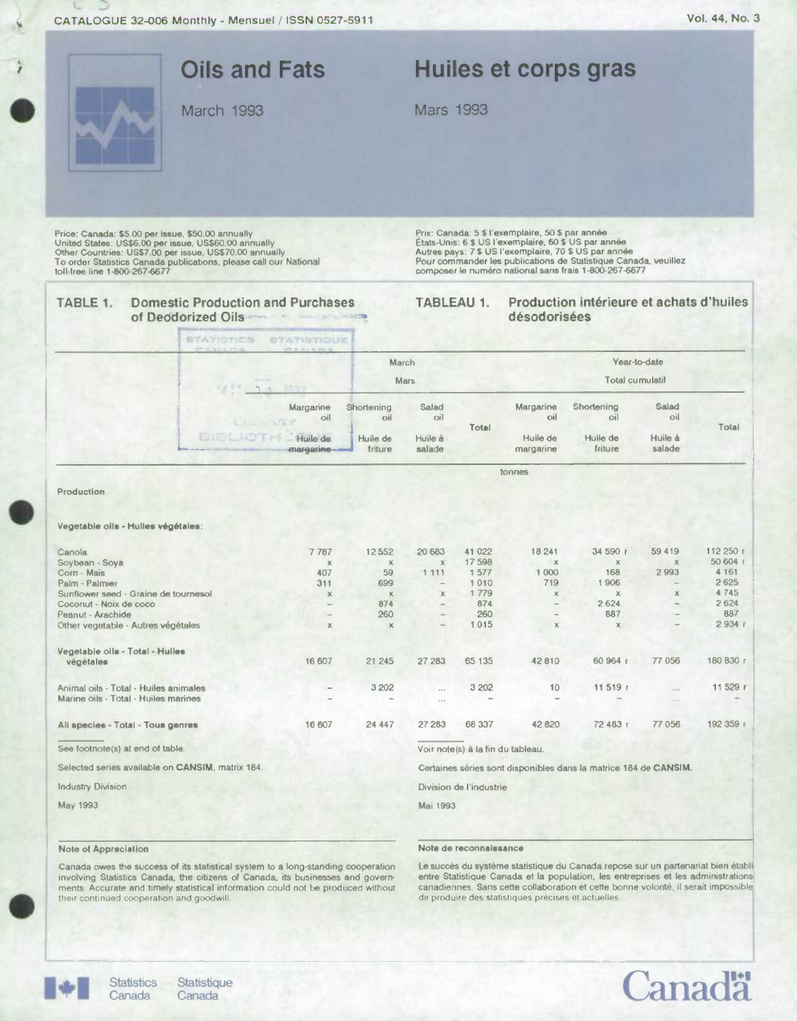÷

|                                                                                                                                                                                                                                                                             | <b>Oils and Fats</b><br>March 1993                                 |                     | <b>Mars 1993</b>            |                                   |                                                                                                          | Huiles et corps gras                                                                                                                                                              |                      |                       |
|-----------------------------------------------------------------------------------------------------------------------------------------------------------------------------------------------------------------------------------------------------------------------------|--------------------------------------------------------------------|---------------------|-----------------------------|-----------------------------------|----------------------------------------------------------------------------------------------------------|-----------------------------------------------------------------------------------------------------------------------------------------------------------------------------------|----------------------|-----------------------|
| Price: Canada: \$5.00 per issue, \$50.00 annually<br>United States: US\$6.00 per issue, US\$60.00 annually<br>Other Countries: US\$7.00 per issue, US\$70.00 annually<br>To order Statistics Canada publications, please call our National<br>toll-free line 1-800-267-6677 |                                                                    |                     |                             |                                   | Prix: Canada: 5 \$ l'exemplaire, 50 \$ par année<br>États-Unis: 6 \$ US l'exemplaire, 60 \$ US par année | Autres pays: 7 \$ US l'exemplaire, 70 \$ US par année<br>Pour commander les publications de Statistique Canada, veuillez<br>composer le numéro national sans frais 1-800-267-6677 |                      |                       |
| TABLE 1.<br>of Deodorized Oils                                                                                                                                                                                                                                              | <b>Domestic Production and Purchases</b><br>STATISTICS STATISTIQUE |                     | TABLEAU 1.                  |                                   | désodorisées                                                                                             | Production intérieure et achats d'huiles                                                                                                                                          |                      |                       |
|                                                                                                                                                                                                                                                                             |                                                                    | March               |                             |                                   |                                                                                                          | Total cumulatif                                                                                                                                                                   | Year-to-date         |                       |
|                                                                                                                                                                                                                                                                             | 1007<br>$\mathbf{r}$ , $\mathbf{r}$<br>Margarine<br>oil            | Shortening<br>oil   | <b>Mars</b><br>Salad<br>oil |                                   | Margarine<br>oil                                                                                         | Shortening<br>oil                                                                                                                                                                 | Salad<br>oil         |                       |
|                                                                                                                                                                                                                                                                             | <b>ENERGION A</b><br>Huile de<br>margarine-                        | Huile de<br>triture | Huile à<br>salade           | Total                             | Huile de<br>margarine                                                                                    | Huile de<br>friture                                                                                                                                                               | Huile à<br>salade    | Total                 |
| Production                                                                                                                                                                                                                                                                  |                                                                    |                     |                             |                                   | tonnes                                                                                                   |                                                                                                                                                                                   |                      |                       |
| Vegetable olls - Hulles végétales:                                                                                                                                                                                                                                          |                                                                    |                     |                             |                                   |                                                                                                          |                                                                                                                                                                                   |                      |                       |
|                                                                                                                                                                                                                                                                             |                                                                    |                     |                             |                                   |                                                                                                          |                                                                                                                                                                                   |                      |                       |
| Canola<br>Soybean - Soya                                                                                                                                                                                                                                                    | 7787<br>$\mathbb X$                                                | 12552<br>$\chi$     | 20 683<br>$\chi$            | 41 022<br>17 598                  | 18 241<br>$\mathbb X$                                                                                    | 34 590 r<br>$\mathbb X$                                                                                                                                                           | 59 419<br>$\times$   | 112 250 r<br>50 604 r |
| Corn - Maïs                                                                                                                                                                                                                                                                 | 407                                                                | 59                  | 1 1 1 1                     | 1 577                             | 1 0 0 0                                                                                                  | 168                                                                                                                                                                               | 2993                 | 4 1 6 1               |
| Palm - Palmier                                                                                                                                                                                                                                                              | 311                                                                | 699                 |                             | 1010                              | 719                                                                                                      | 1906                                                                                                                                                                              |                      | 2625                  |
| Sunflower seed - Graine de tournesol                                                                                                                                                                                                                                        | $\mathbb X$                                                        | $\mathbb{X}$        | $\times$                    | 1 7 7 9                           | ×                                                                                                        | $\mathbb X$                                                                                                                                                                       | ×                    | 4745                  |
| Coconut - Noix de coco                                                                                                                                                                                                                                                      |                                                                    | 874                 |                             | 874                               |                                                                                                          | 2624                                                                                                                                                                              |                      | 2 6 2 4               |
| Peanut - Arachide<br>Other vegetable - Autres végétales                                                                                                                                                                                                                     | $\times$                                                           | 260<br>$\chi$       |                             | 260<br>1015                       | $\mathbf x$                                                                                              | 887<br>×                                                                                                                                                                          |                      | 887<br>2934           |
|                                                                                                                                                                                                                                                                             |                                                                    |                     |                             |                                   |                                                                                                          |                                                                                                                                                                                   |                      |                       |
| Vegetable oils - Total - Huiles<br>végétales                                                                                                                                                                                                                                | 16 607                                                             | 21 245              | 27 283                      | 65 135                            | 42 810                                                                                                   | 60 964 r                                                                                                                                                                          | 77 056               | 180 830 r             |
| Animal oils - Total - Huiles animales<br>Marine oils - Total - Huiles marines                                                                                                                                                                                               |                                                                    | 3 2 0 2             | $\cdots$<br>$\cdots$        | 3 202                             | 10                                                                                                       | 11 519 r                                                                                                                                                                          | $\cdots$<br>$\cdots$ | 11 529 r              |
|                                                                                                                                                                                                                                                                             |                                                                    |                     |                             |                                   |                                                                                                          |                                                                                                                                                                                   |                      | 192 359 г             |
|                                                                                                                                                                                                                                                                             | 16 607                                                             | 24 447              | 27 283                      | 68 337                            | 42 820                                                                                                   | 72 483 г                                                                                                                                                                          | 77 056               |                       |
| All species - Total - Tous genres<br>See footnote(s) at end of table.                                                                                                                                                                                                       |                                                                    |                     |                             | Voir note(s) à la fin du tableau. |                                                                                                          |                                                                                                                                                                                   |                      |                       |
|                                                                                                                                                                                                                                                                             |                                                                    |                     |                             |                                   |                                                                                                          | Certaines séries sont disponibles dans la matrice 184 de CANSIM.                                                                                                                  |                      |                       |
| Selected series available on CANSIM, matrix 184.<br><b>Industry Division</b>                                                                                                                                                                                                |                                                                    |                     |                             | Division de l'industrie           |                                                                                                          |                                                                                                                                                                                   |                      |                       |

### Note of Appreciation

#### **Note de reconnaissance**

Canada owes the success of its statistical system to a long-standing cooperation<br>involving Statistics Canada, the citizens of Canada, its businesses and governments. Accurate and timely statistical information could not be produced without their continued cooperation and goodwill.

Le succès du système statistique du Canada repose sur un partenariat bien établi<br>entre Statistique Canada et la population, les entreprises et les administrations<br>canadiennes. Sans cette collaboration et cette bonne volont de produire des statistiques précises et actuelles



.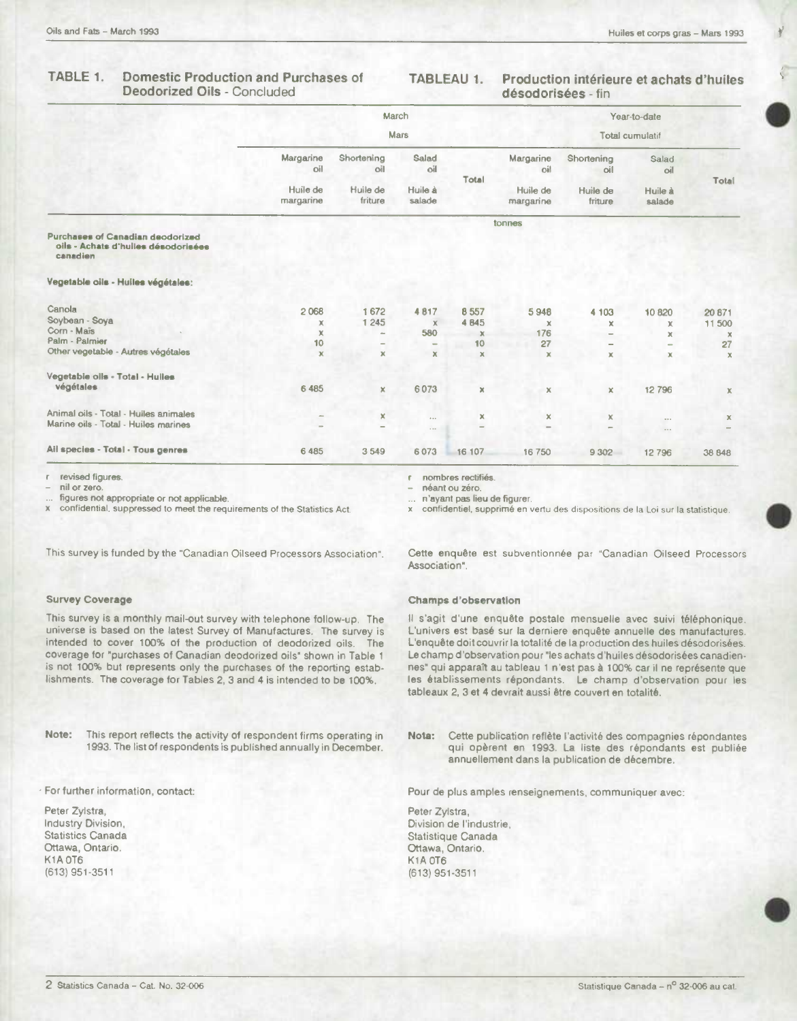#### TABLE 1. **Domestic Production and Purchases of** Deodorized Oils - Concluded

#### TABLEAU 1. Production intérieure et achats d'huiles désodorisées - fin

|                                                                                     | March<br><b>Mars</b>  |                     |                   |             |                       | Year-to-date<br>Total cumulatif |                      |              |  |
|-------------------------------------------------------------------------------------|-----------------------|---------------------|-------------------|-------------|-----------------------|---------------------------------|----------------------|--------------|--|
|                                                                                     |                       |                     |                   |             |                       |                                 |                      |              |  |
|                                                                                     | Margarine<br>oil      | Shortening<br>oil   | Salad<br>oil      | Total       | Margarine<br>oil      | Shortening<br>oil               | Salad<br>bil         |              |  |
|                                                                                     | Huile de<br>margarine | Huile de<br>friture | Huile à<br>salade |             | Huile de<br>margarine | Huile de<br>friture             | Huile à<br>salade    | Total        |  |
|                                                                                     |                       |                     |                   |             | tonnes                |                                 |                      |              |  |
| Purchases of Canadian deodorized<br>oils - Achats d'hulles désodorisées<br>canadien |                       |                     |                   |             |                       |                                 |                      |              |  |
| Vegetable oils - Huiles végétales:                                                  |                       |                     |                   |             |                       |                                 |                      |              |  |
| Canola                                                                              | 2068                  | 1672                | 4817              | 8557        | 5948                  | 4 103                           | 10820                | 20871        |  |
| Soybean - Soya                                                                      | x                     | 1 2 4 5             | $\mathbf x$       | 4 8 4 5     | $\mathbf x$           | ×                               | x                    | 11 500       |  |
| Corn - Mais                                                                         | $\mathbf x$           | $\sim$              | 580               | $\mathbf x$ | 176                   |                                 | ×                    | ×            |  |
| Palm - Palmier                                                                      | 10                    | $\equiv$            |                   | 10          | 27                    | ۰                               |                      | 27           |  |
| Other vegetable - Autres végétales                                                  | $\mathbf x$           | $\mathbb X$         | $\mathbf x$       | $\mathbf x$ | $\mathbb X$           | $\mathbf x$                     | x                    | $\mathbf{x}$ |  |
| Vegetable olls - Total - Hulles                                                     |                       |                     |                   |             |                       |                                 |                      |              |  |
| végétales                                                                           | 6 4 8 5               | ×                   | 6073              | $\mathbb X$ | x                     | ×                               | 12796                | Х            |  |
| Animal oils - Total - Huiles animales                                               |                       | ×                   | $\cdots$          | X.          | $\pmb{\times}$        | ×                               |                      | $\mathbb X$  |  |
| Marine oils - Total - Huiles marines                                                |                       |                     | $\sim$            |             |                       | -                               | $\cdots$<br>$\cdots$ |              |  |
| Ail species - Total - Tous genres                                                   | 6 4 8 5               | 3549                | 6073              | 16 107      | 16750                 | 9 3 0 2                         | 12796                | 38 848       |  |
|                                                                                     |                       |                     |                   |             |                       |                                 |                      |              |  |

revised figures.

nil or zero.

figures not appropriate or not applicable.

confidential, suppressed to meet the requirements of the Statistics Act.

nombres rectifiés.

r.

néant ou zéro.

n'ayant pas lieu de figurer.

x confidentiel, supprimé en vertu des dispositions de la Loi sur la statistique.

This survey is funded by the "Canadian Oilseed Processors Association".

#### **Survey Coverage**

This survey is a monthly mail-out survey with telephone follow-up. The universe is based on the latest Survey of Manufactures. The survey is intended to cover 100% of the production of deodorized oils. The coverage for "purchases of Canadian deodorized oils" shown in Table 1 is not 100% but represents only the purchases of the reporting establishments. The coverage for Tables 2, 3 and 4 is intended to be 100%.

Note: This report reflects the activity of respondent firms operating in 1993. The list of respondents is published annually in December.

· For further information, contact:

Peter Zylstra, Industry Division, Statistics Canada Ottawa, Ontario. K1A OT6 (613) 951-3511

Cette enquête est subventionnée par "Canadian Oilseed Processors Association".

#### **Champs d'observation**

Il s'agit d'une enquête postale mensuelle avec suivi téléphonique. L'univers est basé sur la derniere enquête annuelle des manufactures. L'enquête doit couvrir la totalité de la production des huiles désodorisées. Le champ d'observation pour "les achats d'huiles désodorisées canadiennes" qui apparaît au tableau 1 n'est pas à 100% car il ne représente que les établissements répondants. Le champ d'observation pour les tableaux 2, 3 et 4 devrait aussi être couvert en totalité.

Cette publication reflète l'activité des compagnies répondantes Nota: qui opèrent en 1993. La liste des répondants est publiée annuellement dans la publication de décembre.

Pour de plus amples renseignements, communiquer avec:

Peter Zvistra. Division de l'industrie. Statistique Canada Ottawa, Ontario. **K1A 0T6** (613) 951-3511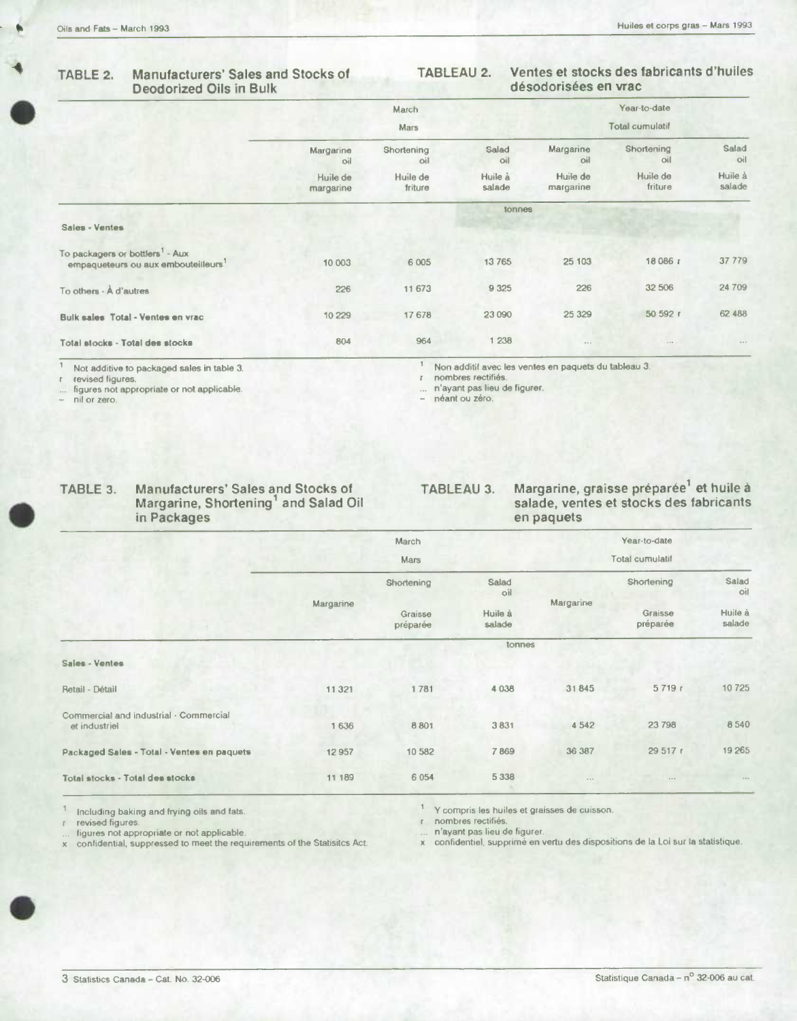## **Deodorized Oils in Bulk**

## **TABLE 2. Manufacturers' Sales and Stocks of TABLEAU 2. Ventes et stocks des fabricants d'huiles**

|                                                                                                |                       | March<br><b>Mars</b> |                   |                       | Year-to-date<br><b>Total cumulatif</b> |                   |  |
|------------------------------------------------------------------------------------------------|-----------------------|----------------------|-------------------|-----------------------|----------------------------------------|-------------------|--|
|                                                                                                | Margarine<br>oil      | Shortening<br>oil    | Salad<br>oil      | Margarine<br>oil      | Shortening<br>oil                      | Salad<br>oil      |  |
|                                                                                                | Huile de<br>margarine | Huile de<br>friture  | Huile à<br>salade | Huile de<br>margarine | Huile de<br>friture                    | Huile à<br>salade |  |
|                                                                                                | tonnes                |                      |                   |                       |                                        |                   |  |
| Sales - Ventes                                                                                 |                       |                      |                   |                       |                                        |                   |  |
| To packagers or bottlers <sup>1</sup> - Aux<br>empaqueteurs ou aux embouteilleurs <sup>1</sup> | 10 003                | 6 0 0 5              | 13765             | 25 103                | 18 086 г                               | 37 779            |  |
| To others - A d'autres                                                                         | 226                   | 11 673               | 9 3 25            | 226                   | 32 506                                 | 24 709            |  |
| Bulk sales Total - Ventes en vrac                                                              | 10 229                | 17678                | 23 090            | 25 3 29               | 50 592 r                               | 62 488            |  |
| Total stocks - Total des stocks                                                                | 804                   | 964                  | 1 238             | $+ + +$               | 1.17                                   | 0.000             |  |

 $\mathbb{F}$ 

figures not appropriate or not applicable. ... n'ayant pas lieu de figurer.

1 Not additive to packaged sales in table 3.<br>1 Non additif avec les ventes en paquets du tableau 3.<br>1 nombres rectifiés.<br>1 nombres rectifiés.

nombres rectifiés.<br>n'ayant pas lieu de figurer.

- néant ou zéro.

| TABLE 3. | Manufacturers' Sales and Stocks of<br>Margarine, Shortening and Salad Oil<br>in Packages |
|----------|------------------------------------------------------------------------------------------|
|          |                                                                                          |

**TABLEAU 3. Margarine, graisse preparée' et huile a salade, ventes et stocks des fabricants en paquets** 

|                                                         |           | March               |                                   |                 | Year-to-date                      |                                   |  |  |  |
|---------------------------------------------------------|-----------|---------------------|-----------------------------------|-----------------|-----------------------------------|-----------------------------------|--|--|--|
|                                                         |           | <b>Mars</b>         |                                   | Total cumulatif |                                   |                                   |  |  |  |
|                                                         |           | Shortening          | Salad<br>oil<br>Huile à<br>salade | Margarine       | Shortening<br>Graisse<br>préparée | Salad<br>oil<br>Huile à<br>salade |  |  |  |
|                                                         | Margarine | Graisse<br>préparée |                                   |                 |                                   |                                   |  |  |  |
|                                                         | tonnes    |                     |                                   |                 |                                   |                                   |  |  |  |
| Sales - Ventes                                          |           |                     |                                   |                 |                                   |                                   |  |  |  |
| Retail - Détail                                         | 11 3 21   | 1781                | 4 0 3 8                           | 31845           | 5719r                             | 10725                             |  |  |  |
| Commercial and industrial - Commercial<br>et industriel | 1636      | 8801                | 3831                              | 4542            | 23 798                            | 8540                              |  |  |  |
| Packaged Sales - Total - Ventes en paquets              | 12957     | 10 582              | 7869                              | 36 387          | 29 517 r                          | 19 265                            |  |  |  |
| Total stocks - Total des stocks                         | 11 189    | 6 0 5 4             | 5 3 3 8                           | $\cdots$        | 1.001                             | $1 + 1$                           |  |  |  |

Including baking and frying oils and fats.

revised figures. figures not appropriate or not applicable. a confidential, suppressed to meet the requirements of the Statisitcs Act.

Y compris les huiles at graisses de cuisson.

r nombres rectifiés.<br>... n'ayant pas lieu de figurer.

n'ayant pea lieu do figurer. x confidentiel, supprimé an vertu des dispositions do Ia Loi sur Ia statistique.